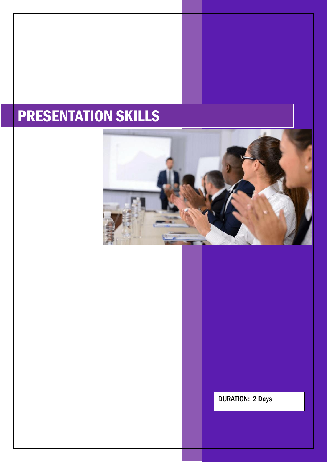# PRESENTATION SKILLS



DURATION: 2 Days